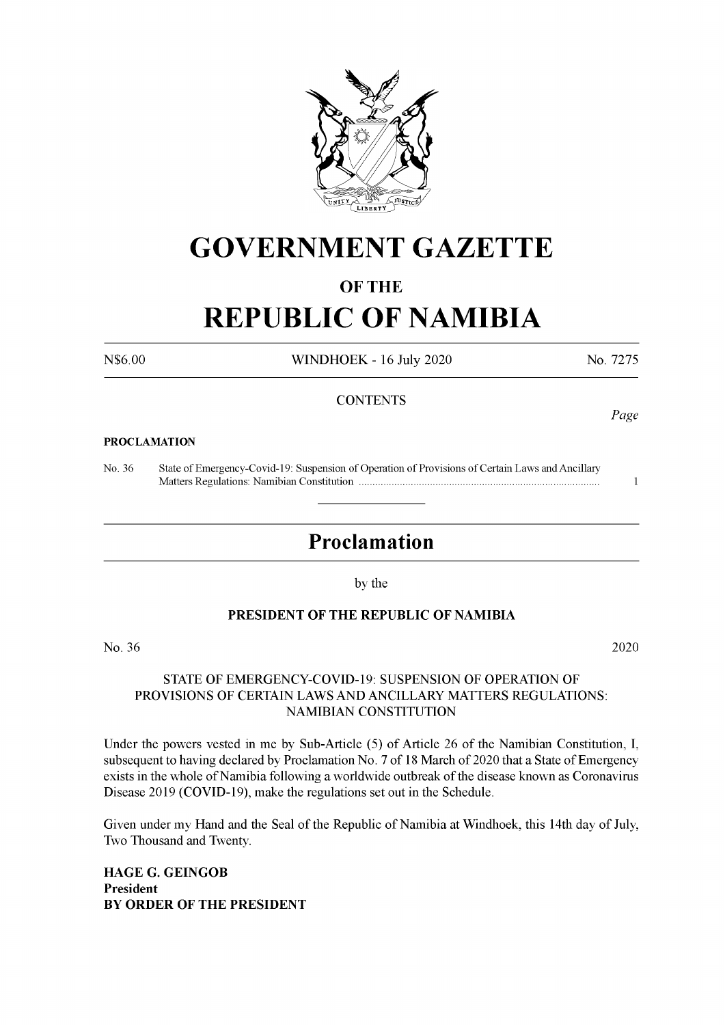

## **GOVERNMENT GAZETTE**

#### **OF THE**

# **REPUBLIC OF NAMIBIA**

N\$6.00 WINDHOEK - 16 July 2020 No. 7275

#### **CONTENTS**

#### **PROCLAMATION**

No. 36 State of Emergency-Covid-19: Suspension of Operation of Provisions of Certain Laws and Ancillary Matters Regulations: Namibian Constitution ....................................................................................... <sup>1</sup>

### **Proclamation**

by the

#### **PRESIDENT OF THE REPUBLIC OF NAMIBIA**

No. 36 2020

#### STATE OF EMERGENCY-COVID-19: SUSPENSION OF OPERATION OF PROVISIONS OF CERTAIN LAWS AND ANCILLARY MATTERS REGULATIONS: NAMIBIAN CONSTITUTION

Under the powers vested in me by Sub-Article (5) of Article 26 of the Namibian Constitution, I, subsequent to having declared by Proclamation No. 7 of 18 March of 2020 that a State of Emergency exists in the whole of Namibia following a worldwide outbreak of the disease known as Coronavirus Disease 2019 (COVID-19), make the regulations set out in the Schedule.

Given under my Hand and the Seal of the Republic of Namibia at Windhoek, this 14th day of July, Two Thousand and Twenty.

**HAGE G. GEINGOB President BY ORDER OF THE PRESIDENT** *Page*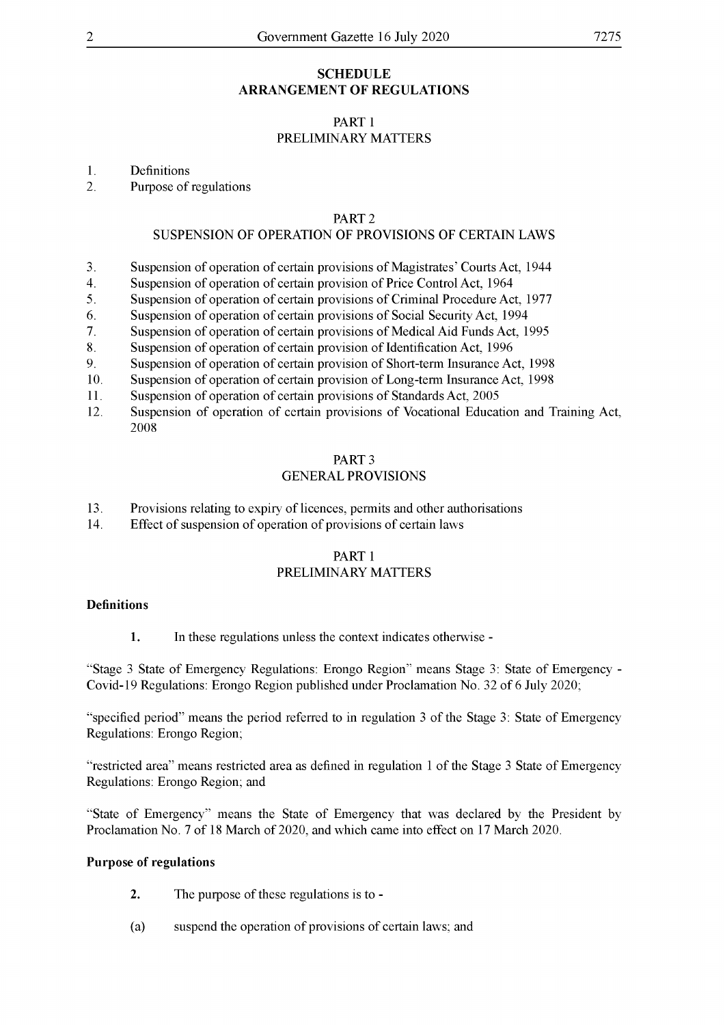#### **SCHEDULE ARRANGEMENT OF REGULATIONS**

#### PART <sup>1</sup> PRELIMINARY MATTERS

1. Definitions

2. Purpose of regulations

#### PART 2

#### SUSPENSION OF OPERATION OF PROVISIONS OF CERTAIN LAWS

- 3. Suspension of operation of certain provisions of Magistrates' Courts Act, 1944
- 4. Suspension of operation of certain provision of Price Control Act, 1964
- 5. Suspension of operation of certain provisions of Criminal Procedure Act, 1977
- 6. Suspension of operation of certain provisions of Social Security Act, 1994
- 7. Suspension of operation of certain provisions of Medical Aid Funds Act, 1995
- 8. Suspension of operation of certain provision of Identification Act, 1996
- 9. Suspension of operation of certain provision of Short-term Insurance Act, 1998
- 10. Suspension of operation of certain provision of Long-term Insurance Act, 1998
- 11. Suspension of operation of certain provisions of Standards Act, 2005
- 12. Suspension of operation of certain provisions of Vocational Education and Training Act, 2008

#### PART 3

#### GENERAL PROVISIONS

- 13. Provisions relating to expiry of licences, permits and other authorisations
- 14. Effect of suspension of operation of provisions of certain laws

#### PART <sup>1</sup> PRELIMINARY MATTERS

#### **Definitions**

**1.** In these regulations unless the context indicates otherwise -

"Stage <sup>3</sup> State of Emergency Regulations: Erongo Region" means Stage 3: State of Emergency - Covid-19 Regulations: Erongo Region published under Proclamation No. 32 of 6 July 2020;

"specified period" means the period referred to in regulation <sup>3</sup> ofthe Stage 3: State of Emergency Regulations: Erongo Region;

"restricted area" means restricted area as defined in regulation <sup>1</sup> ofthe Stage <sup>3</sup> State of Emergency Regulations: Erongo Region; and

"State of Emergency" means the State of Emergency that was declared by the President by Proclamation No. 7 of 18 March of 2020, and which came into effect on 17 March 2020.

#### **Purpose of regulations**

- **2.** The purpose of these regulations is to -
- (a) suspend the operation of provisions of certain laws; and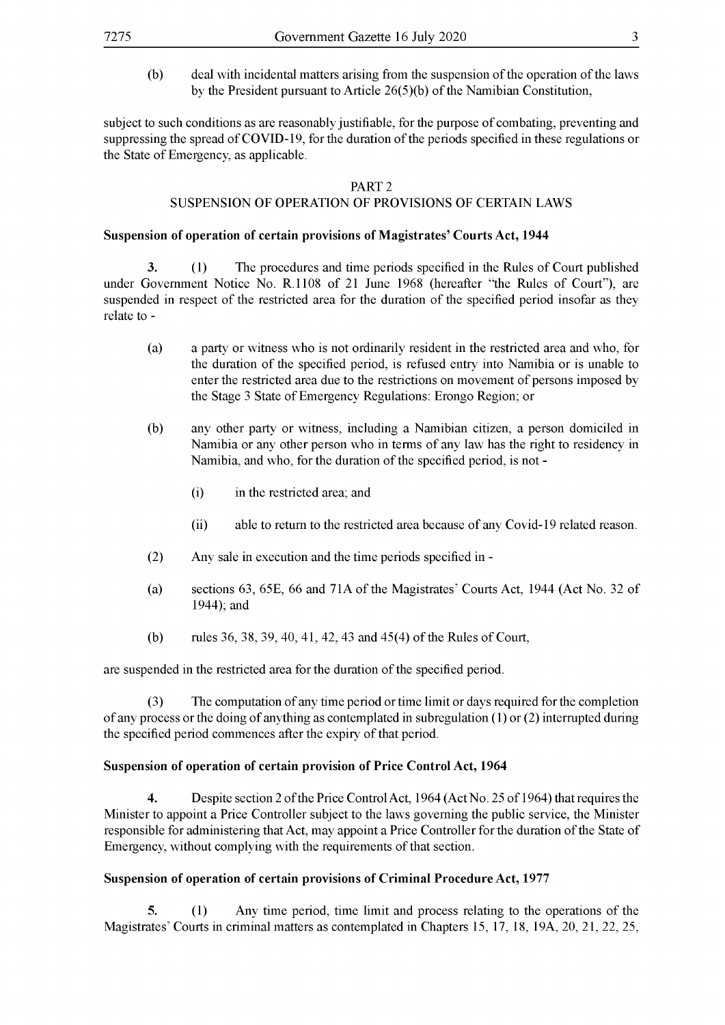(b) deal with incidental matters arising from the suspension of the operation of the laws by the President pursuant to Article  $26(5)(b)$  of the Namibian Constitution,

subject to such conditions as are reasonably justifiable, for the purpose of combating, preventing and suppressing the spread of COVID-19, for the duration of the periods specified in these regulations or the State of Emergency, as applicable.

#### PART 2

#### SUSPENSION OF OPERATION OF PROVISIONS OF CERTAIN LAWS

#### **Suspension of operation of certain provisions of Magistrates' Courts Act, 1944**

**3.** (1) The procedures and time periods specified in the Rules of Court published under Government Notice No. R.1108 of 21 June 1968 (hereafter "the Rules of Court"), are suspended in respect of the restricted area for the duration of the specified period insofar as they relate to -

- (a) a party or witness who is not ordinarily resident in the restricted area and who, for the duration of the specified period, is refused entry into Namibia or is unable to enter the restricted area due to the restrictions on movement of persons imposed by the Stage 3 State of Emergency Regulations: Erongo Region; or
- (b) any other party or witness, including a Namibian citizen, a person domiciled in Namibia or any other person who in terms of any law has the right to residency in Namibia, and who, for the duration of the specified period, is not -
	- (i) in the restricted area; and
	- (ii) able to return to the restricted area because of any Covid-19 related reason.
- (2) Any sale in execution and the time periods specified in -
- (a) sections 63, 65E, 66 and 71A of the Magistrates' Courts Act, 1944 (Act No. 32 of 1944); and
- (b) rules 36, 38, 39, 40, 41, 42, 43 and 45(4) of the Rules of Court,

are suspended in the restricted area for the duration of the specified period.

(3) The computation of any time period or time limit or days required for the completion of any process or the doing of anything as contemplated in subregulation  $(1)$  or  $(2)$  interrupted during the specified period commences after the expiry of that period.

#### **Suspension of operation of certain provision of Price Control Act, 1964**

**4.** Despite section 2 of the Price Control Act, 1964 (Act No. 25 of 1964) that requires the Minister to appoint a Price Controller subject to the laws governing the public service, the Minister responsible for administering that Act, may appoint a Price Controller for the duration of the State of Emergency, without complying with the requirements of that section.

#### **Suspension of operation of certain provisions of Criminal Procedure Act, 1977**

**5.** (1) Any time period, time limit and process relating to the operations of the Magistrates' Courts in criminal matters as contemplated in Chapters 15, 11, 18, 19A, 20, 21, 22, 25,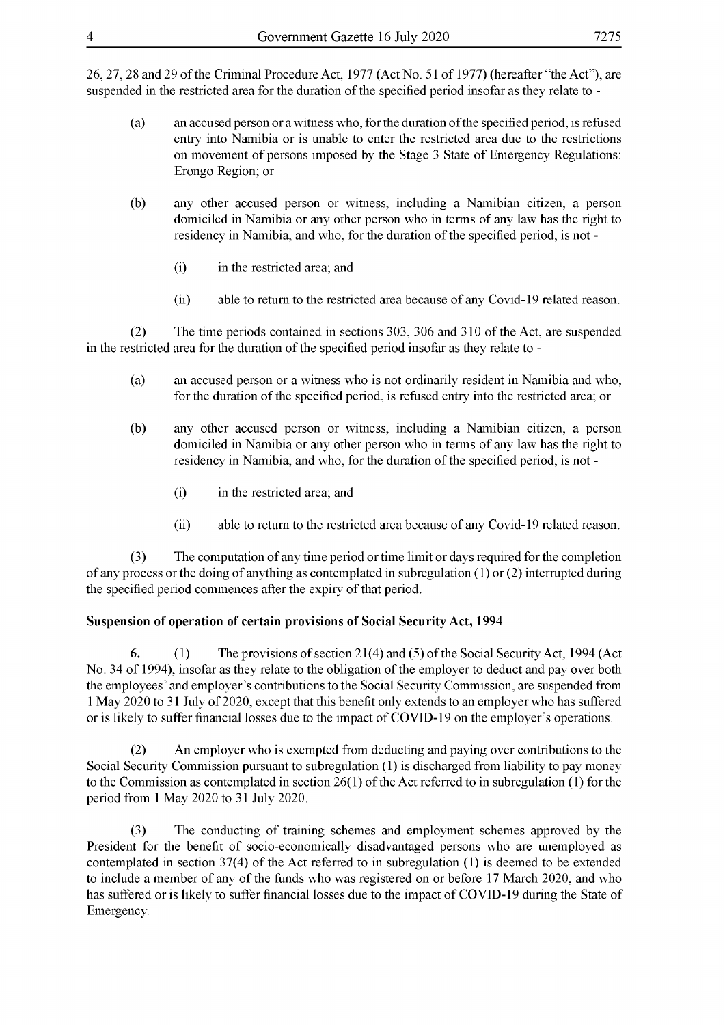26, 27, 28 and 29 ofthe Criminal Procedure Act, 1977 (Act No. 51 of 1977) (hereafter "the Act"), are suspended in the restricted area for the duration of the specified period insofar as they relate to -

- (a) an accused person or awitness who, forthe duration ofthe specified period, is refused entry into Namibia or is unable to enter the restricted area due to the restrictions on movement of persons imposed by the Stage <sup>3</sup> State of Emergency Regulations: Erongo Region; or
- (b) any other accused person or witness, including a Namibian citizen, a person domiciled in Namibia or any other person who in terms of any law has the right to residency in Namibia, and who, for the duration of the specified period, is not -
	- (i) in the restricted area; and
	- (ii) able to return to the restricted area because of any Covid-19 related reason.

(2) The time periods contained in sections 303, 306 and 310 ofthe Act, are suspended in the restricted area for the duration of the specified period insofar as they relate to -

- (a) an accused person or a witness who is not ordinarily resident in Namibia and who, for the duration of the specified period, is refused entry into the restricted area; or
- (b) any other accused person or witness, including a Namibian citizen, a person domiciled in Namibia or any other person who in terms of any law has the right to residency in Namibia, and who, for the duration of the specified period, is not -
	- (i) in the restricted area; and
	- (ii) able to return to the restricted area because of any Covid-19 related reason.

(3) The computation ofany time period ortime limit or days required forthe completion of any process or the doing of anything as contemplated in subregulation  $(1)$  or  $(2)$  interrupted during the specified period commences after the expiry of that period.

#### **Suspension of operation of certain provisions of Social Security Act, 1994**

**6.** (1) The provisions of section 21(4) and (5) of the Social Security Act, 1994 (Act No. 34 of 1994), insofar as they relate to the obligation of the employer to deduct and pay over both the employees' and employer's contributions to the Social Security Commission, are suspended from 1 May 2020 to 31 July of 2020, except that this benefit only extends to an employer who has suffered or is likely to suffer financial losses due to the impact of COVID-19 on the employer's operations.

(2) An employer who is exempted from deducting and paying over contributions to the Social Security Commission pursuant to subregulation (1) is discharged from liability to pay money to the Commission as contemplated in section  $26(1)$  of the Act referred to in subregulation (1) for the period from <sup>1</sup> May 2020 to 31 July 2020.

(3) The conducting of training schemes and employment schemes approved by the President for the benefit of socio-economically disadvantaged persons who are unemployed as contemplated in section  $37(4)$  of the Act referred to in subregulation (1) is deemed to be extended to include a member of any of the funds who was registered on or before 17 March 2020, and who has suffered or is likely to suffer financial losses due to the impact of COVID-19 during the State of Emergency.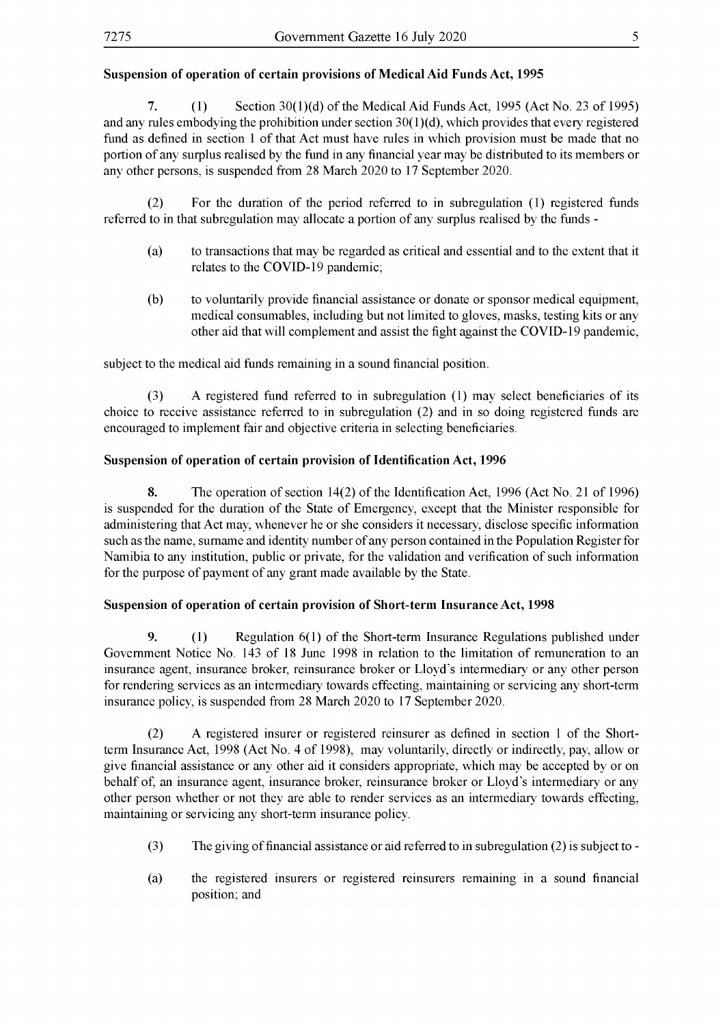#### **Suspension of operation of certain provisions of Medical Aid Funds Act, 1995**

**7.** (1) Section 30(1)(d) ofthe Medical Aid Funds Act, 1995 (Act No. 23 of 1995) and any rules embodying the prohibition under section  $30(1)(d)$ , which provides that every registered fund as defined in section 1 of that Act must have rules in which provision must be made that no portion of any surplus realised by the fund in any financial year may be distributed to its members or any other persons, is suspended from 28 March 2020 to 17 September 2020.

(2) For the duration of the period referred to in subregulation (1) registered funds referred to in that subregulation may allocate a portion of any surplus realised by the funds -

- (a) to transactions that may be regarded as critical and essential and to the extent that it relates to the COVID-19 pandemic;
- (b) to voluntarily provide financial assistance or donate or sponsor medical equipment, medical consumables, including but not limited to gloves, masks, testing kits or any other aid that will complement and assist the fight against the COVID-19 pandemic,

subject to the medical aid funds remaining in a sound financial position.

(3) A registered fund referred to in subregulation (1) may select beneficiaries of its choice to receive assistance referred to in subregulation (2) and in so doing registered funds are encouraged to implement fair and objective criteria in selecting beneficiaries.

#### **Suspension of operation of certain provision ofIdentification Act, 1996**

**8.** The operation of section 14(2) of the Identification Act, 1996 (Act No. 21 of 1996) is suspended for the duration of the State of Emergency, except that the Minister responsible for administering that Act may, whenever he or she considers it necessary, disclose specific information such as the name, surname and identity number of any person contained in the Population Register for Namibia to any institution, public or private, for the validation and verification of such information for the purpose of payment of any grant made available by the State.

#### **Suspension of operation of certain provision of Short-term Insurance Act, 1998**

**9.** (1) Regulation 6(1) of the Short-term Insurance Regulations published under Government Notice No. 143 of 18 June 1998 in relation to the limitation of remuneration to an insurance agent, insurance broker, reinsurance broker or Lloyd's intermediary or any other person for rendering services as an intermediary towards effecting, maintaining or servicing any short-term insurance policy, is suspended from 28 March 2020 to 17 September 2020.

(2) A registered insurer or registered reinsurer as defined in section <sup>1</sup> of the Shortterm Insurance Act, 1998 (Act No. 4 of 1998), may voluntarily, directly or indirectly, pay, allow or give financial assistance or any other aid it considers appropriate, which may be accepted by or on behalf of, an insurance agent, insurance broker, reinsurance broker or Lloyd's intermediary or any other person whether or not they are able to render services as an intermediary towards effecting, maintaining or servicing any short-term insurance policy.

- (3) The giving offinancial assistance or aid referred to in subregulation (2) is subject to -
- (a) the registered insurers or registered reinsurers remaining in a sound financial position; and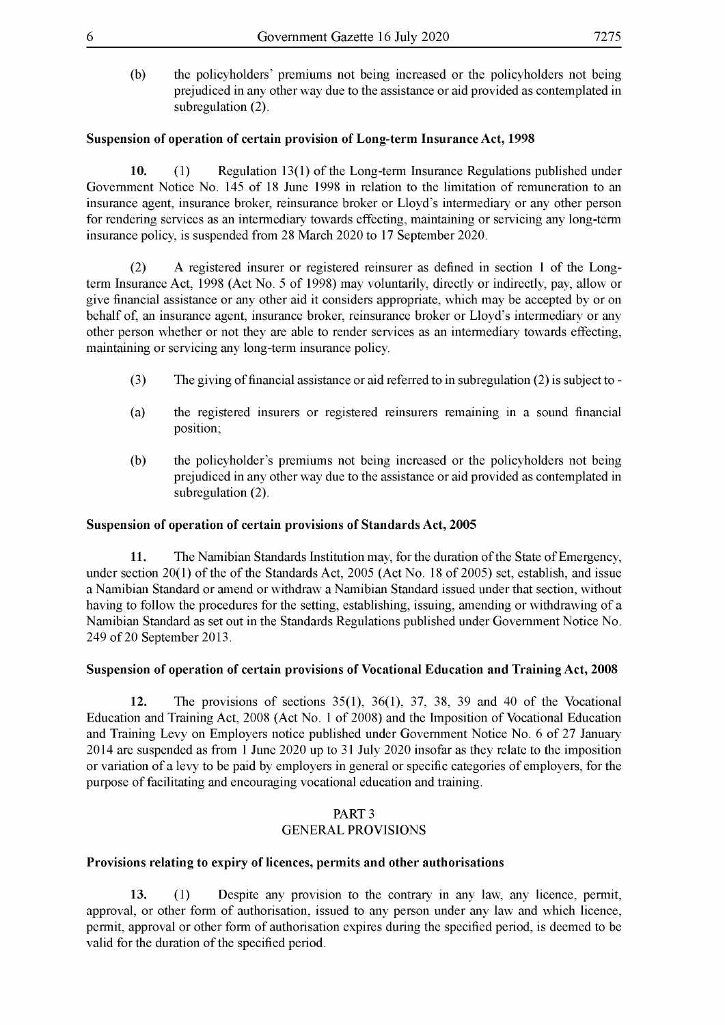(b) the policyholders' premiums not being increased or the policyholders not being prejudiced in any other way due to the assistance or aid provided as contemplated in subregulation  $(2)$ .

#### **Suspension of operation of certain provision of Long-term Insurance Act, 1998**

**10.** (1) Regulation 13(1) of the Long-term Insurance Regulations published under Government Notice No. 145 of 18 June 1998 in relation to the limitation of remuneration to an insurance agent, insurance broker, reinsurance broker or Lloyd's intermediary or any other person for rendering services as an intermediary towards effecting, maintaining or servicing any long-term insurance policy, is suspended from 28 March 2020 to 17 September 2020.

(2) A registered insurer or registered reinsurer as defined in section <sup>1</sup> of the Longterm Insurance Act, 1998 (Act No. <sup>5</sup> of 1998) may voluntarily, directly or indirectly, pay, allow or give financial assistance or any other aid it considers appropriate, which may be accepted by or on behalf of, an insurance agent, insurance broker, reinsurance broker or Lloyd's intermediary or any other person whether or not they are able to render services as an intermediary towards effecting, maintaining or servicing any long-term insurance policy.

- (3) The giving offinancial assistance or aid referred to in subregulation (2) is subject to -
- (a) the registered insurers or registered reinsurers remaining in a sound financial position;
- (b) the policyholder's premiums not being increased or the policyholders not being prejudiced in any other way due to the assistance or aid provided as contemplated in subregulation (2).

#### **Suspension of operation of certain provisions of Standards Act, 2005**

**11.** The Namibian Standards Institution may, for the duration of the State of Emergency, under section  $20(1)$  of the of the Standards Act,  $2005$  (Act No. 18 of  $2005$ ) set, establish, and issue a Namibian Standard or amend or withdraw a Namibian Standard issued under that section, without having to follow the procedures for the setting, establishing, issuing, amending or withdrawing of a Namibian Standard as set out in the Standards Regulations published under Government Notice No. 249 of 20 September 2013.

#### **Suspension of operation of certain provisions of Vocational Education and Training Act, 2008**

**12.** The provisions of sections 35(1), 36(1), 37, 38, 39 and 40 of the Vocational Education and Training Act, 2008 (Act No. <sup>1</sup> of 2008) and the Imposition of Vocational Education and Training Levy on Employers notice published under Government Notice No. 6 of 27 January 2014 are suspended as from <sup>1</sup> June 2020 up to 31 July 2020 insofar as they relate to the imposition or variation of a levy to be paid by employers in general or specific categories of employers, for the purpose of facilitating and encouraging vocational education and training.

#### PART 3 GENERAL PROVISIONS

#### **Provisions relating to expiry of licences, permits and other authorisations**

**13.** (1) Despite any provision to the contrary in any law, any licence, permit, approval, or other form of authorisation, issued to any person under any law and which licence, permit, approval or other form of authorisation expires during the specified period, is deemed to be valid for the duration of the specified period.